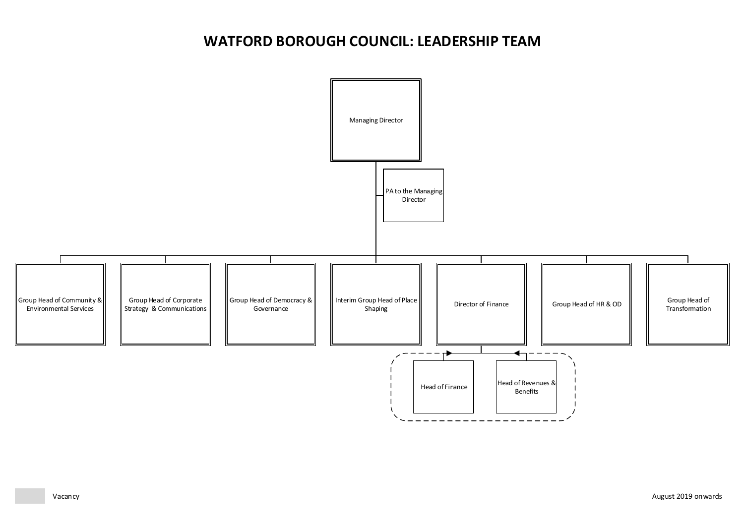# <span id="page-0-5"></span><span id="page-0-4"></span><span id="page-0-3"></span><span id="page-0-2"></span><span id="page-0-1"></span><span id="page-0-0"></span>**WATFORD BOROUGH COUNCIL: LEADERSHIP TEAM**

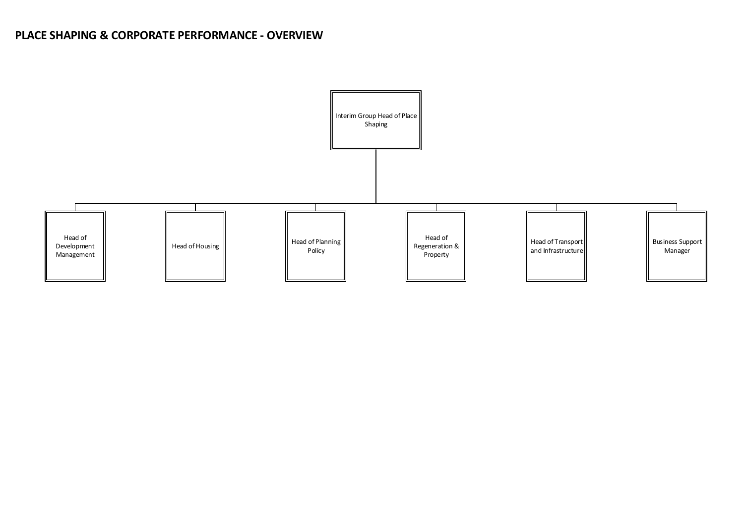# **PLACE SHAPING & CORPORATE PERFORMANCE - OVERVIEW**

<span id="page-1-6"></span><span id="page-1-5"></span><span id="page-1-4"></span><span id="page-1-3"></span><span id="page-1-2"></span><span id="page-1-1"></span><span id="page-1-0"></span>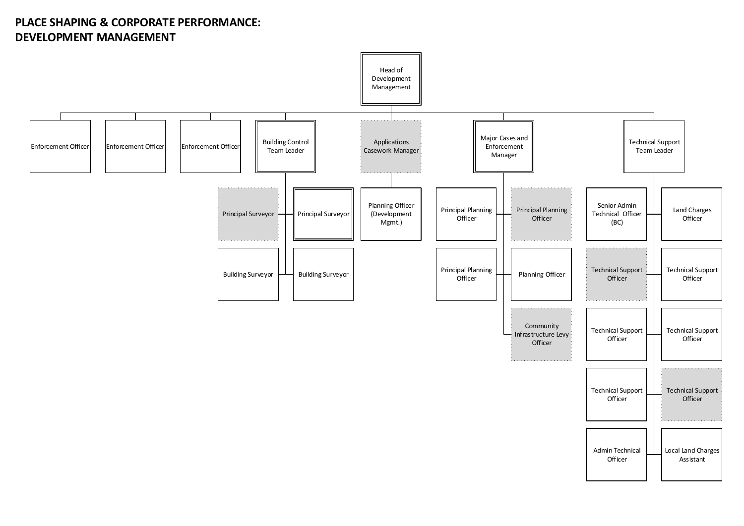# **PLACE SHAPING & CORPORATE PERFORMANCE: DEVELOPMENT MANAGEMENT**

<span id="page-2-0"></span>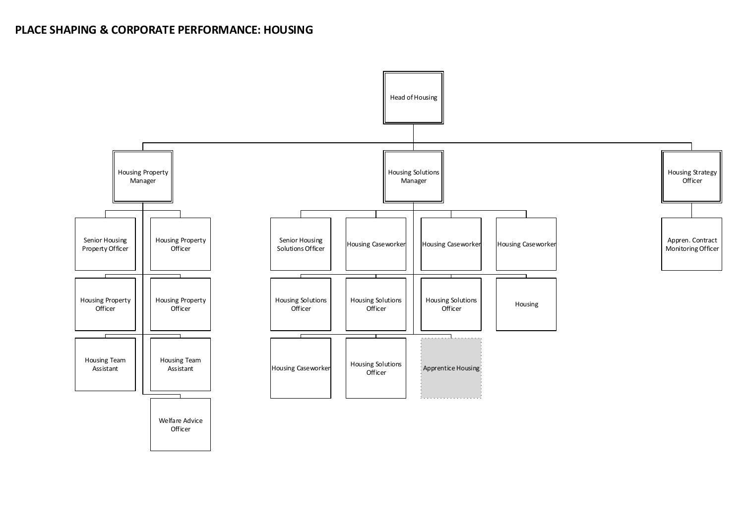<span id="page-3-0"></span>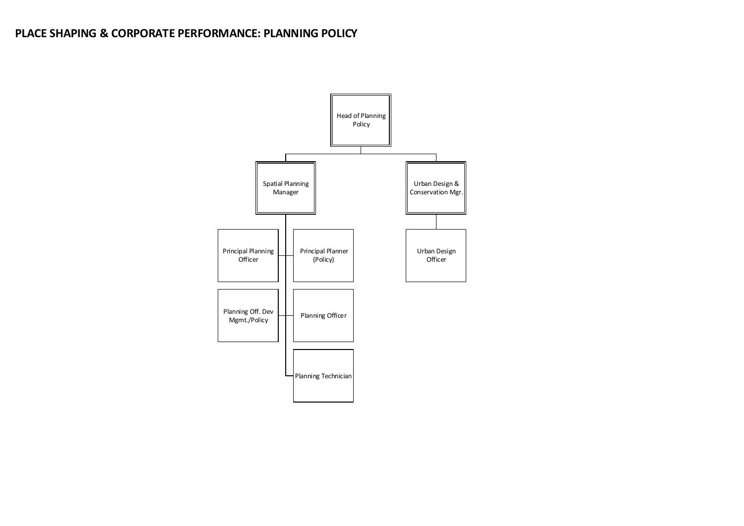# **PLACE SHAPING & CORPORATE PERFORMANCE: PLANNING POLICY**

<span id="page-4-0"></span>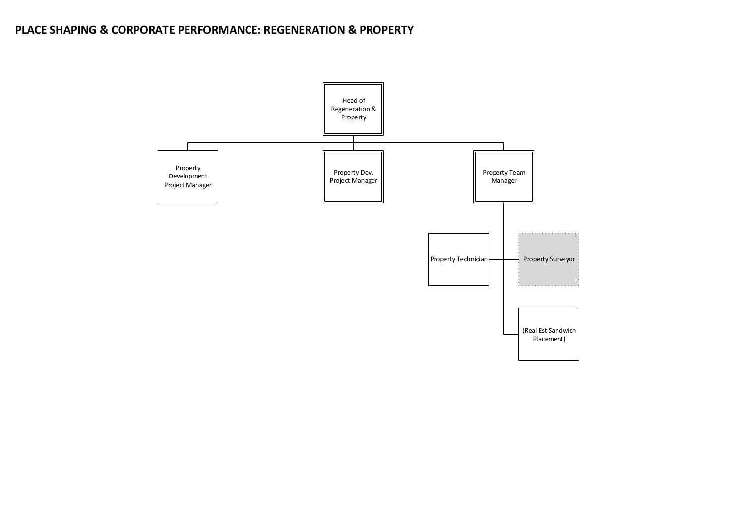## **PLACE SHAPING & CORPORATE PERFORMANCE: REGENERATION & PROPERTY**

<span id="page-5-0"></span>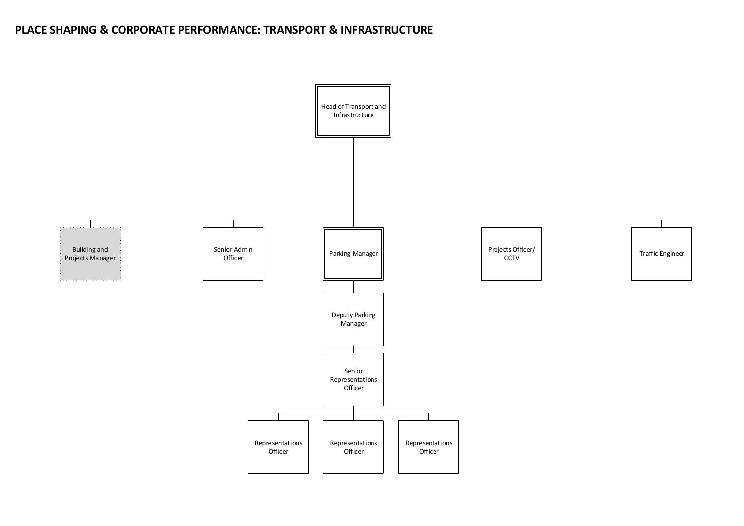### **PLACE SHAPING & CORPORATE PERFORMANCE: TRANSPORT & INFRASTRUCTURE**

<span id="page-6-0"></span>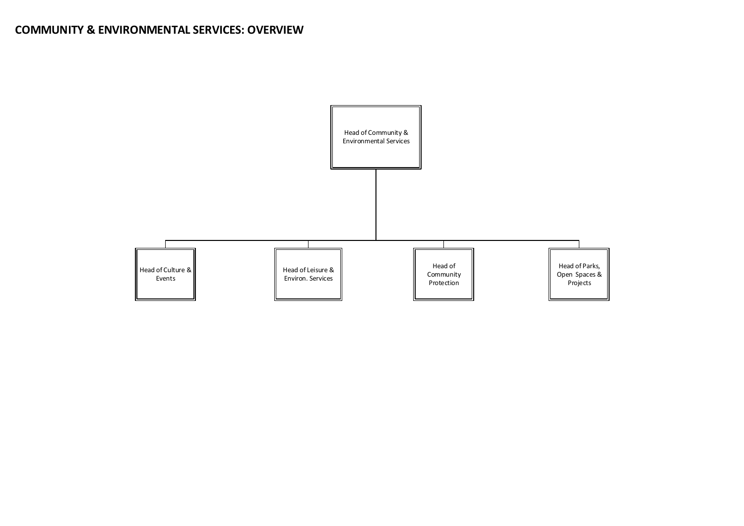<span id="page-7-4"></span><span id="page-7-3"></span><span id="page-7-2"></span><span id="page-7-1"></span><span id="page-7-0"></span>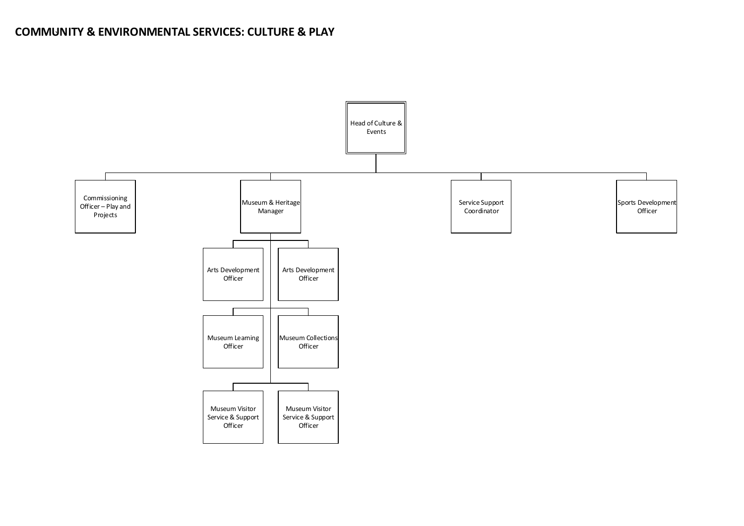# **COMMUNITY**  ` **& ENVIRONMENTAL SERVICES: CULTURE & PLAY**

<span id="page-8-0"></span>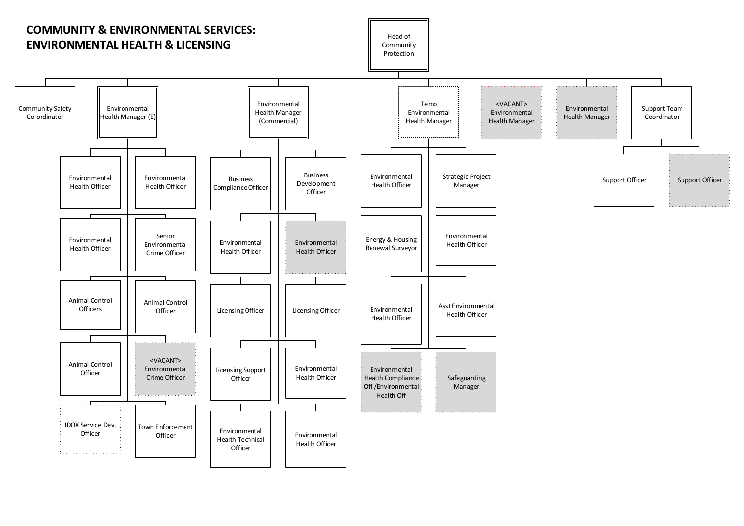<span id="page-9-0"></span>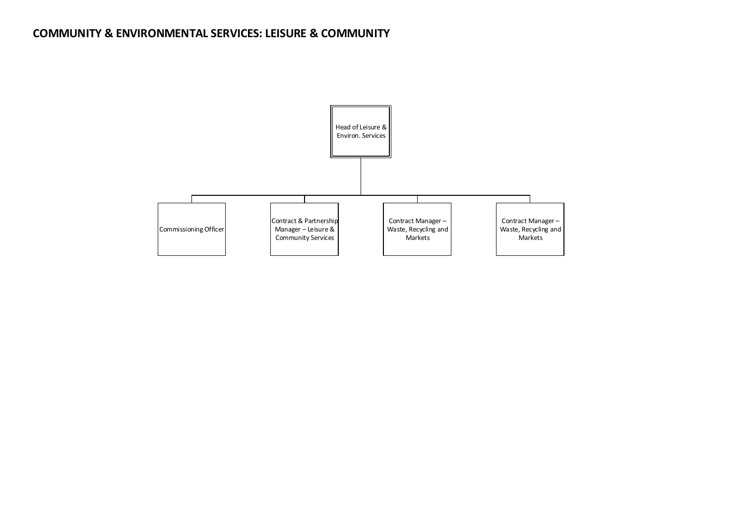## **COMMUNITY & ENVIRONMENTAL SERVICES: LEISURE & COMMUNITY**

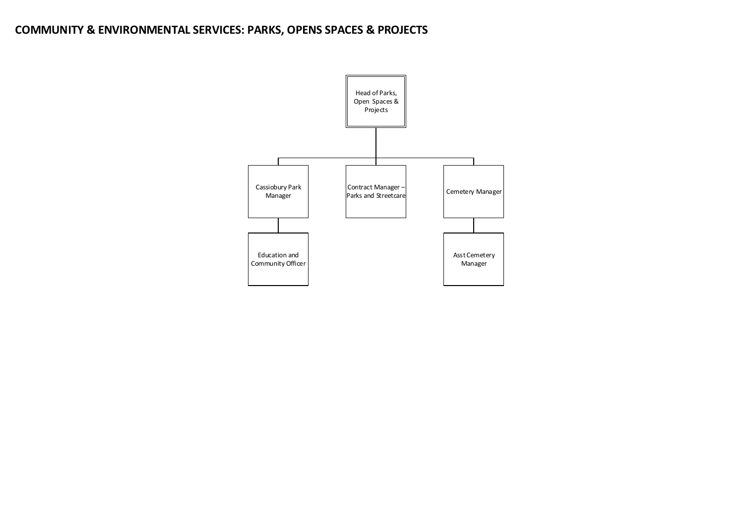## **COMMUNITY & ENVIRONMENTAL SERVICES: PARKS, OPENS SPACES & PROJECTS**

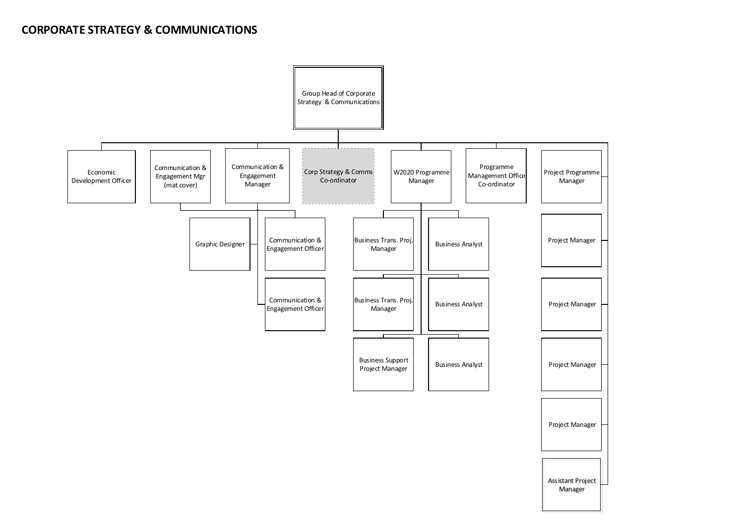#### **CORPORATE STRATEGY & COMMUNICATIONS**

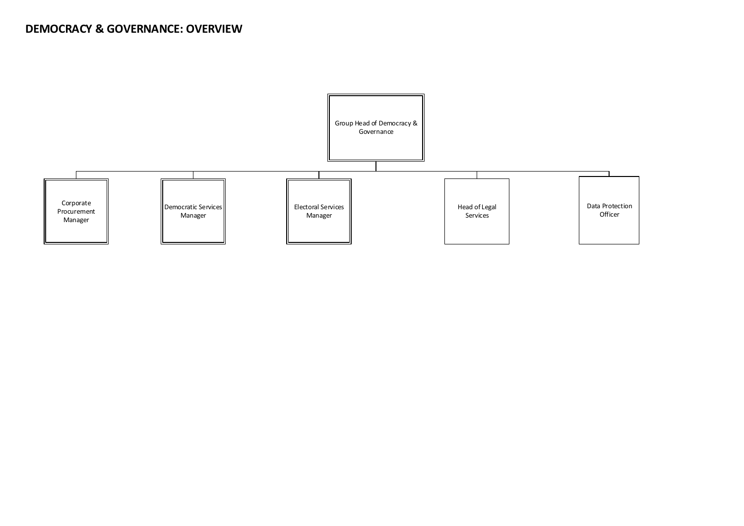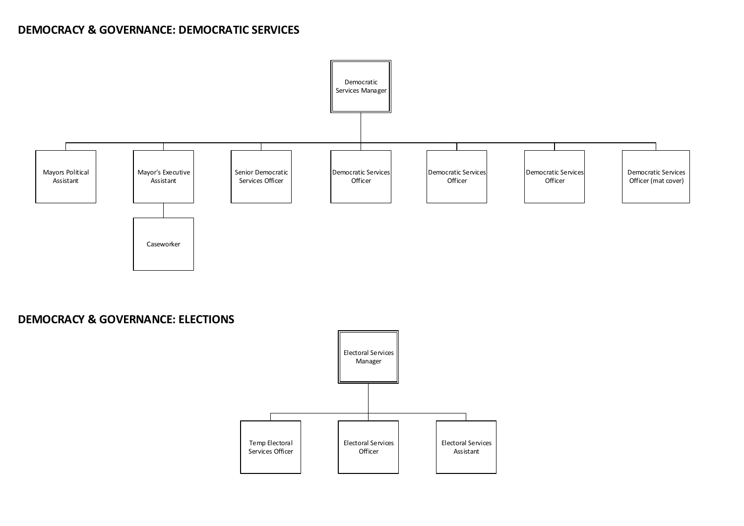## **DEMOCRACY & GOVERNANCE: DEMOCRATIC SERVICES**



**DEMOCRACY & GOVERNANCE: ELECTIONS**

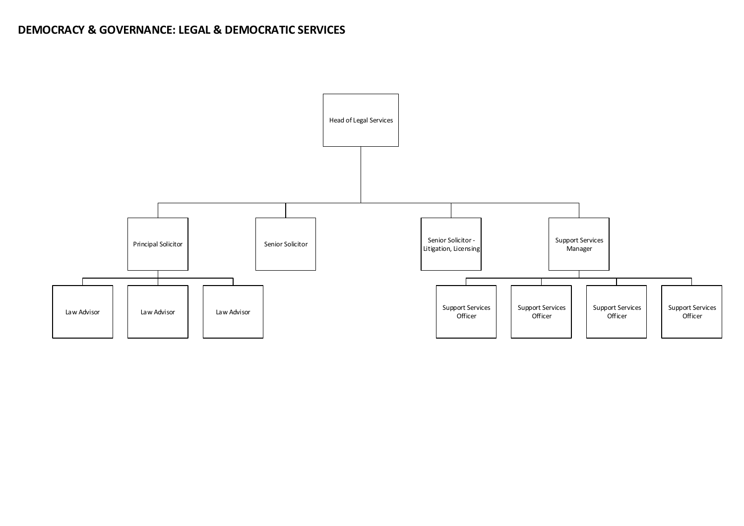## **DEMOCRACY & GOVERNANCE: LEGAL & DEMOCRATIC SERVICES**

<span id="page-15-0"></span>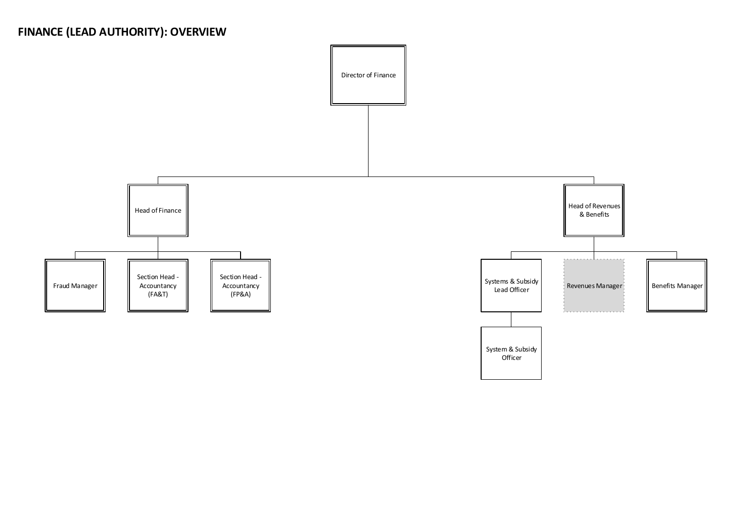# **FINANCE (LEAD AUTHORITY): OVERVIEW**

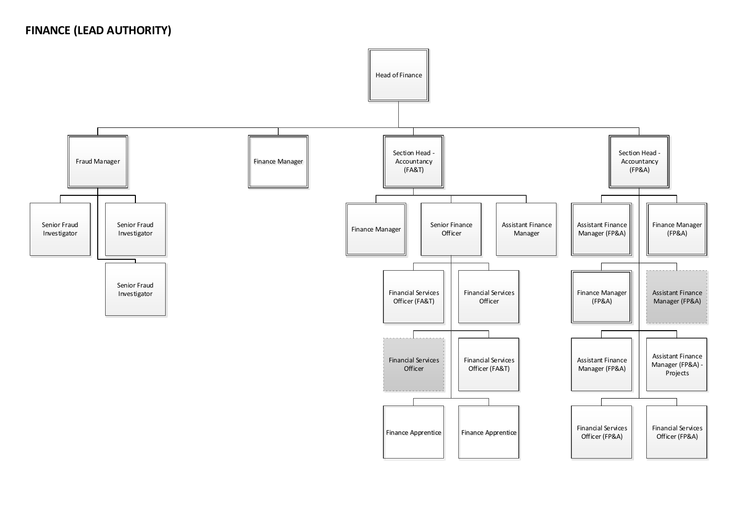## **FINANCE (LEAD AUTHORITY)**

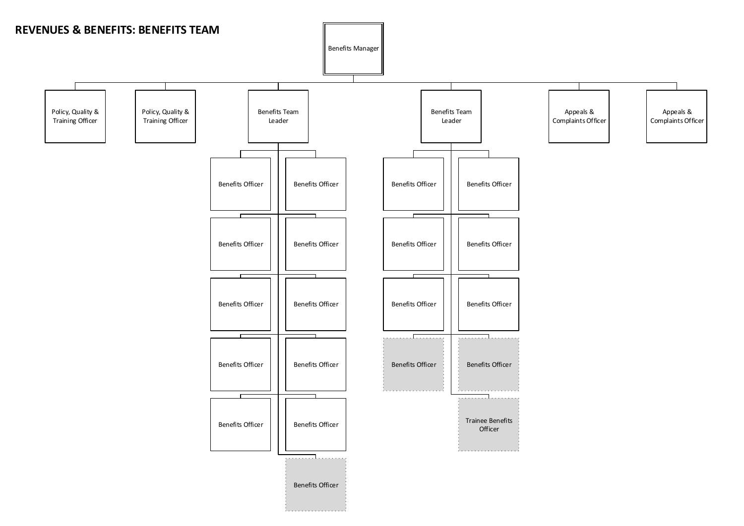<span id="page-18-0"></span>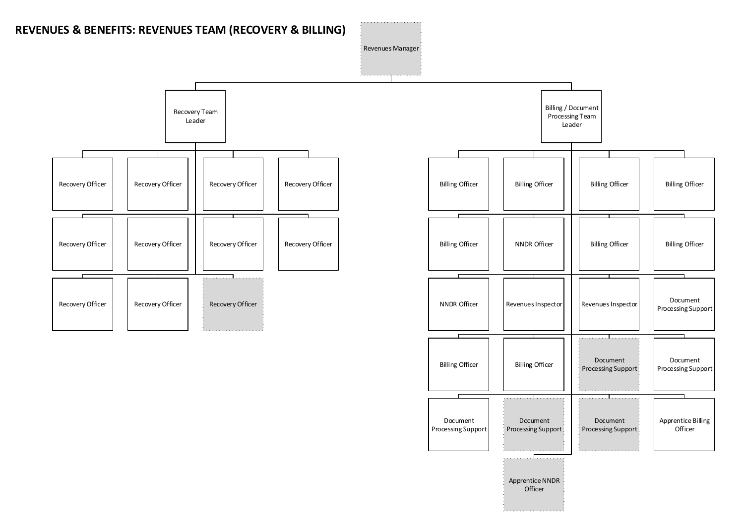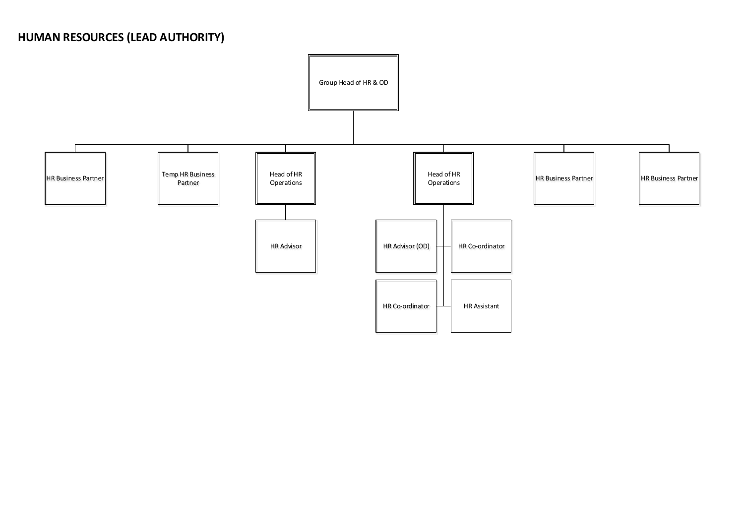# **HUMAN RESOURCES (LEAD AUTHORITY)**

<span id="page-20-0"></span>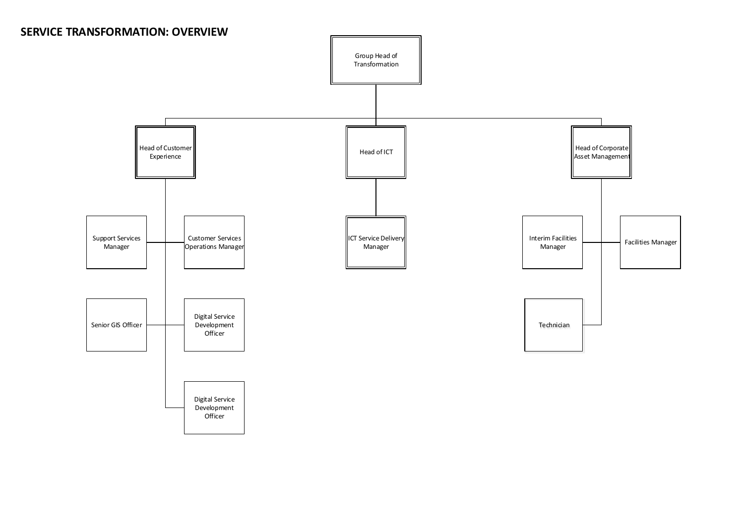## **SERVICE TRANSFORMATION: OVERVIEW**

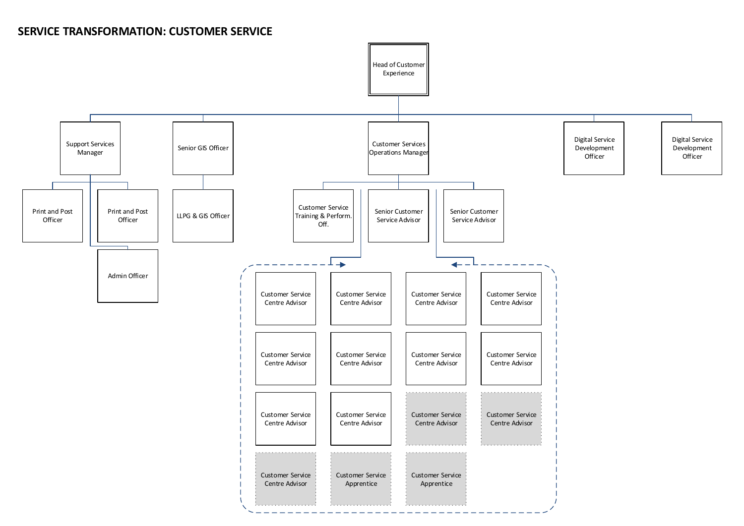#### **SERVICE TRANSFORMATION: CUSTOMER SERVICE**

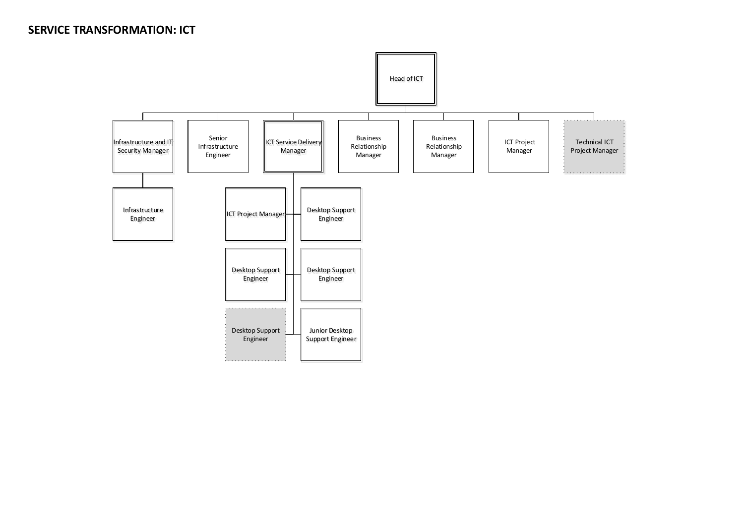#### **SERVICE TRANSFORMATION: ICT**

<span id="page-23-1"></span><span id="page-23-0"></span>